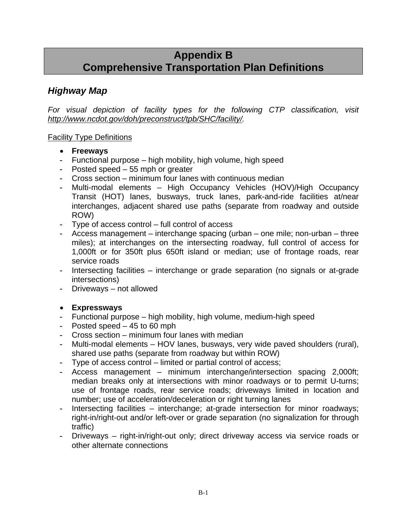# **Appendix B Comprehensive Transportation Plan Definitions**

# *Highway Map*

*For visual depiction of facility types for the following CTP classification, visit http://www.ncdot.gov/doh/preconstruct/tpb/SHC/facility/.* 

### Facility Type Definitions

- **Freeways**
- Functional purpose high mobility, high volume, high speed
- Posted speed 55 mph or greater
- Cross section minimum four lanes with continuous median
- Multi-modal elements High Occupancy Vehicles (HOV)/High Occupancy Transit (HOT) lanes, busways, truck lanes, park-and-ride facilities at/near interchanges, adjacent shared use paths (separate from roadway and outside ROW)
- Type of access control full control of access
- Access management interchange spacing (urban one mile; non-urban three miles); at interchanges on the intersecting roadway, full control of access for 1,000ft or for 350ft plus 650ft island or median; use of frontage roads, rear service roads
- Intersecting facilities interchange or grade separation (no signals or at-grade intersections)
- Driveways not allowed

#### • **Expressways**

- Functional purpose high mobility, high volume, medium-high speed
- Posted speed 45 to 60 mph
- Cross section minimum four lanes with median
- Multi-modal elements HOV lanes, busways, very wide paved shoulders (rural), shared use paths (separate from roadway but within ROW)
- Type of access control limited or partial control of access;
- Access management minimum interchange/intersection spacing 2,000ft; median breaks only at intersections with minor roadways or to permit U-turns; use of frontage roads, rear service roads; driveways limited in location and number; use of acceleration/deceleration or right turning lanes
- Intersecting facilities interchange; at-grade intersection for minor roadways; right-in/right-out and/or left-over or grade separation (no signalization for through traffic)
- Driveways right-in/right-out only; direct driveway access via service roads or other alternate connections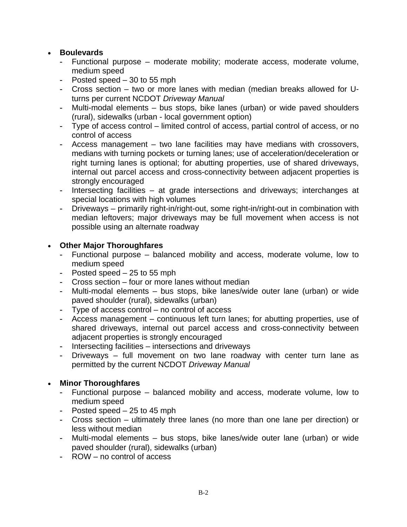### • **Boulevards**

- Functional purpose moderate mobility; moderate access, moderate volume, medium speed
- Posted speed 30 to 55 mph
- Cross section two or more lanes with median (median breaks allowed for Uturns per current NCDOT *Driveway Manual*
- Multi-modal elements bus stops, bike lanes (urban) or wide paved shoulders (rural), sidewalks (urban - local government option)
- Type of access control limited control of access, partial control of access, or no control of access
- Access management two lane facilities may have medians with crossovers, medians with turning pockets or turning lanes; use of acceleration/deceleration or right turning lanes is optional; for abutting properties, use of shared driveways, internal out parcel access and cross-connectivity between adjacent properties is strongly encouraged
- Intersecting facilities at grade intersections and driveways; interchanges at special locations with high volumes
- Driveways primarily right-in/right-out, some right-in/right-out in combination with median leftovers; major driveways may be full movement when access is not possible using an alternate roadway

#### • **Other Major Thoroughfares**

- Functional purpose balanced mobility and access, moderate volume, low to medium speed
- Posted speed 25 to 55 mph
- Cross section four or more lanes without median
- Multi-modal elements bus stops, bike lanes/wide outer lane (urban) or wide paved shoulder (rural), sidewalks (urban)
- Type of access control no control of access
- Access management continuous left turn lanes; for abutting properties, use of shared driveways, internal out parcel access and cross-connectivity between adjacent properties is strongly encouraged
- Intersecting facilities intersections and driveways
- Driveways full movement on two lane roadway with center turn lane as permitted by the current NCDOT *Driveway Manual*

### • **Minor Thoroughfares**

- Functional purpose balanced mobility and access, moderate volume, low to medium speed
- Posted speed 25 to 45 mph
- Cross section ultimately three lanes (no more than one lane per direction) or less without median
- Multi-modal elements bus stops, bike lanes/wide outer lane (urban) or wide paved shoulder (rural), sidewalks (urban)
- ROW no control of access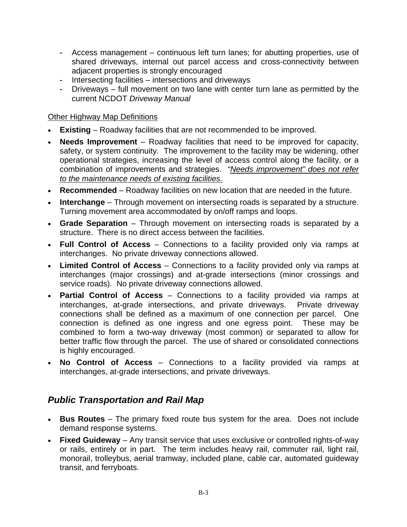- Access management continuous left turn lanes; for abutting properties, use of shared driveways, internal out parcel access and cross-connectivity between adjacent properties is strongly encouraged
- Intersecting facilities intersections and driveways
- Driveways full movement on two lane with center turn lane as permitted by the current NCDOT *Driveway Manual*

### Other Highway Map Definitions

- **Existing** Roadway facilities that are not recommended to be improved.
- **Needs Improvement** Roadway facilities that need to be improved for capacity, safety, or system continuity. The improvement to the facility may be widening, other operational strategies, increasing the level of access control along the facility, or a combination of improvements and strategies. *"Needs improvement" does not refer to the maintenance needs of existing facilities.*
- **Recommended** Roadway facilities on new location that are needed in the future.
- **Interchange** Through movement on intersecting roads is separated by a structure. Turning movement area accommodated by on/off ramps and loops.
- **Grade Separation** Through movement on intersecting roads is separated by a structure. There is no direct access between the facilities.
- **Full Control of Access** Connections to a facility provided only via ramps at interchanges. No private driveway connections allowed.
- **Limited Control of Access** Connections to a facility provided only via ramps at interchanges (major crossings) and at-grade intersections (minor crossings and service roads). No private driveway connections allowed.
- **Partial Control of Access** Connections to a facility provided via ramps at interchanges, at-grade intersections, and private driveways. Private driveway connections shall be defined as a maximum of one connection per parcel. One connection is defined as one ingress and one egress point. These may be combined to form a two-way driveway (most common) or separated to allow for better traffic flow through the parcel. The use of shared or consolidated connections is highly encouraged.
- **No Control of Access** Connections to a facility provided via ramps at interchanges, at-grade intersections, and private driveways.

# *Public Transportation and Rail Map*

- **Bus Routes** The primary fixed route bus system for the area. Does not include demand response systems.
- **Fixed Guideway** Any transit service that uses exclusive or controlled rights-of-way or rails, entirely or in part. The term includes heavy rail, commuter rail, light rail, monorail, trolleybus, aerial tramway, included plane, cable car, automated guideway transit, and ferryboats.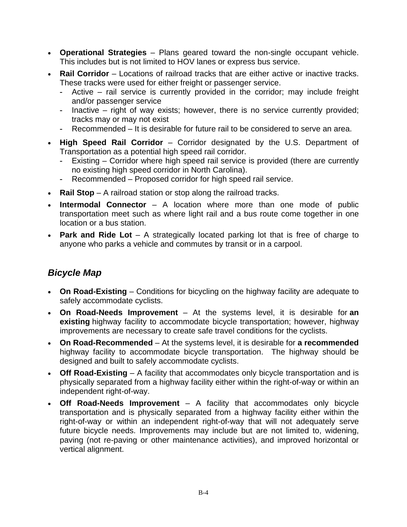- **Operational Strategies** Plans geared toward the non-single occupant vehicle. This includes but is not limited to HOV lanes or express bus service.
- **Rail Corridor** Locations of railroad tracks that are either active or inactive tracks. These tracks were used for either freight or passenger service.
	- Active rail service is currently provided in the corridor; may include freight and/or passenger service
	- Inactive right of way exists; however, there is no service currently provided; tracks may or may not exist
	- Recommended It is desirable for future rail to be considered to serve an area.
- **High Speed Rail Corridor** Corridor designated by the U.S. Department of Transportation as a potential high speed rail corridor.
	- Existing Corridor where high speed rail service is provided (there are currently no existing high speed corridor in North Carolina).
	- Recommended Proposed corridor for high speed rail service.
- **Rail Stop** A railroad station or stop along the railroad tracks.
- **Intermodal Connector** A location where more than one mode of public transportation meet such as where light rail and a bus route come together in one location or a bus station.
- **Park and Ride Lot** A strategically located parking lot that is free of charge to anyone who parks a vehicle and commutes by transit or in a carpool.

### *Bicycle Map*

- **On Road-Existing** Conditions for bicycling on the highway facility are adequate to safely accommodate cyclists.
- **On Road-Needs Improvement**  At the systems level, it is desirable for **an existing** highway facility to accommodate bicycle transportation; however, highway improvements are necessary to create safe travel conditions for the cyclists.
- **On Road-Recommended** At the systems level, it is desirable for **a recommended** highway facility to accommodate bicycle transportation. The highway should be designed and built to safely accommodate cyclists.
- **Off Road-Existing** A facility that accommodates only bicycle transportation and is physically separated from a highway facility either within the right-of-way or within an independent right-of-way.
- **Off Road-Needs Improvement** A facility that accommodates only bicycle transportation and is physically separated from a highway facility either within the right-of-way or within an independent right-of-way that will not adequately serve future bicycle needs. Improvements may include but are not limited to, widening, paving (not re-paving or other maintenance activities), and improved horizontal or vertical alignment.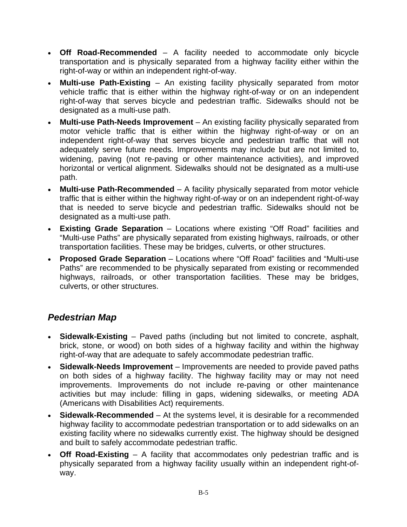- **Off Road-Recommended** A facility needed to accommodate only bicycle transportation and is physically separated from a highway facility either within the right-of-way or within an independent right-of-way.
- **Multi-use Path-Existing** An existing facility physically separated from motor vehicle traffic that is either within the highway right-of-way or on an independent right-of-way that serves bicycle and pedestrian traffic. Sidewalks should not be designated as a multi-use path.
- **Multi-use Path-Needs Improvement** An existing facility physically separated from motor vehicle traffic that is either within the highway right-of-way or on an independent right-of-way that serves bicycle and pedestrian traffic that will not adequately serve future needs. Improvements may include but are not limited to, widening, paving (not re-paving or other maintenance activities), and improved horizontal or vertical alignment. Sidewalks should not be designated as a multi-use path.
- **Multi-use Path-Recommended** A facility physically separated from motor vehicle traffic that is either within the highway right-of-way or on an independent right-of-way that is needed to serve bicycle and pedestrian traffic. Sidewalks should not be designated as a multi-use path.
- **Existing Grade Separation** Locations where existing "Off Road" facilities and "Multi-use Paths" are physically separated from existing highways, railroads, or other transportation facilities. These may be bridges, culverts, or other structures.
- **Proposed Grade Separation** Locations where "Off Road" facilities and "Multi-use Paths" are recommended to be physically separated from existing or recommended highways, railroads, or other transportation facilities. These may be bridges, culverts, or other structures.

# *Pedestrian Map*

- **Sidewalk-Existing** Paved paths (including but not limited to concrete, asphalt, brick, stone, or wood) on both sides of a highway facility and within the highway right-of-way that are adequate to safely accommodate pedestrian traffic.
- **Sidewalk-Needs Improvement** Improvements are needed to provide paved paths on both sides of a highway facility. The highway facility may or may not need improvements. Improvements do not include re-paving or other maintenance activities but may include: filling in gaps, widening sidewalks, or meeting ADA (Americans with Disabilities Act) requirements.
- **Sidewalk-Recommended** At the systems level, it is desirable for a recommended highway facility to accommodate pedestrian transportation or to add sidewalks on an existing facility where no sidewalks currently exist. The highway should be designed and built to safely accommodate pedestrian traffic.
- **Off Road-Existing** A facility that accommodates only pedestrian traffic and is physically separated from a highway facility usually within an independent right-ofway.